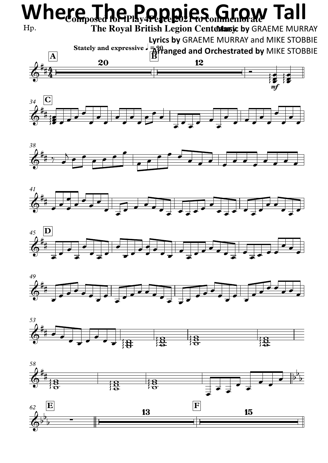## Hp. mf **Stately** and expressive  $\frac{1}{2}$   $\frac{1}{2}$   $\frac{1}{2}$   $\frac{1}{2}$   $\frac{1}{2}$   $\frac{1}{2}$ **A B B B B B B** *34* **C**  $6 + 4$   $-$ #\_\_\_\_<br>##**4** . # Where  $\prod_{\text{De}}$   $\prod_{\text{De}}$   $\prod_{\text{De}}$   $\prod_{\text{De}}$   $\prod_{\text{De}}$   $\prod_{\text{De}}$   $\prod_{\text{De}}$   $\prod_{\text{De}}$   $\prod_{\text{De}}$ **Music by** GRAEME MURRAY **The Royal British Legion Centenary Lyrics by** GRAEME MURRAY and MIKE STOBBIE **Arranged and Orchestrated by** MIKE STOBBIE  $\Phi$ <sup>\*</sup> # #  $\frac{1}{2}$  $\bullet$  $\frac{1}{2}$ e di di provincia di controlle di controlle di controlle di controlle di controlle di controlle di controlle d<br>En la controlle di controlle di controlle di controlle di controlle di controlle di controlle di controlle di ∏  $\frac{1}{\sqrt{2}}$  $\overrightarrow{ }$ œ œ œ œ œ  $\bullet$ œ  $\overrightarrow{ }$ œ  $\bullet$   $\bullet$   $\bullet$  $\overrightarrow{ }$ œ œ



 $\frac{1}{2}$   $\frac{1}{2}$  $\frac{1}{2}$  $\overrightarrow{e}$  $\frac{1}{\sqrt{2}}$ 

 $\overrightarrow{e}$ 

œ

 $\overrightarrow{e}$ 

 $\overrightarrow{e}$ 

œ

∰e e

 $\overrightarrow{e}$ 

 $\overrightarrow{e}$ 

 $\overrightarrow{c}$ 

JU 1











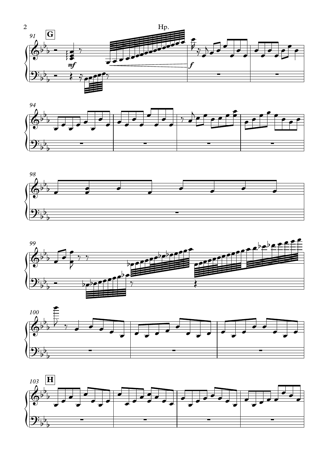